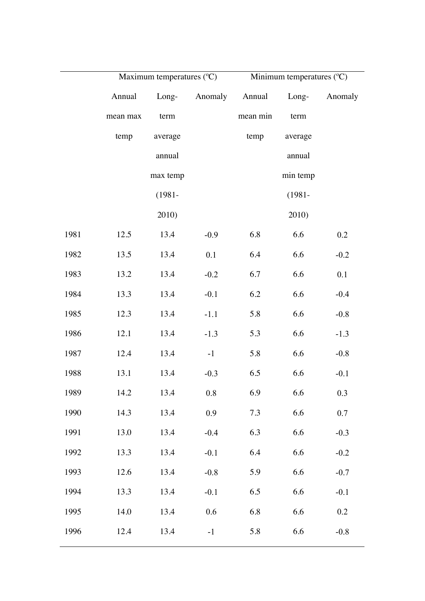|      | Maximum temperatures $({}^{\circ}C)$ |           |               | Minimum temperatures (°C) |           |         |
|------|--------------------------------------|-----------|---------------|---------------------------|-----------|---------|
|      | Annual                               |           | Long- Anomaly | Annual                    | $Long-$   | Anomaly |
|      | mean max                             | term      |               | mean min                  | term      |         |
|      | temp                                 | average   |               | temp                      | average   |         |
|      |                                      | annual    |               |                           | annual    |         |
|      |                                      | max temp  |               |                           | min temp  |         |
|      |                                      | $(1981 -$ |               |                           | $(1981 -$ |         |
|      |                                      | 2010)     |               |                           | 2010)     |         |
| 1981 | 12.5                                 | 13.4      | $-0.9$        | 6.8                       | 6.6       | 0.2     |
| 1982 | 13.5                                 | 13.4      | 0.1           | 6.4                       | 6.6       | $-0.2$  |
| 1983 | 13.2                                 | 13.4      | $-0.2$        | 6.7                       | 6.6       | 0.1     |
| 1984 | 13.3                                 | 13.4      | $-0.1$        | 6.2                       | 6.6       | $-0.4$  |
| 1985 | 12.3                                 | 13.4      | $-1.1$        | 5.8                       | 6.6       | $-0.8$  |
| 1986 | 12.1                                 | 13.4      | $-1.3$        | 5.3                       | 6.6       | $-1.3$  |
| 1987 | 12.4                                 | 13.4      | $-1$          | 5.8                       | 6.6       | $-0.8$  |
| 1988 | 13.1                                 | 13.4      | $-0.3$        | 6.5                       | 6.6       | $-0.1$  |
| 1989 | 14.2                                 | 13.4      | 0.8           | 6.9                       | 6.6       | 0.3     |
| 1990 | 14.3                                 | 13.4      | 0.9           | 7.3                       | 6.6       | 0.7     |
| 1991 | 13.0                                 | 13.4      | $-0.4$        | 6.3                       | 6.6       | $-0.3$  |
| 1992 | 13.3                                 | 13.4      | $-0.1$        | 6.4                       | 6.6       | $-0.2$  |
| 1993 | 12.6                                 | 13.4      | $-0.8$        | 5.9                       | 6.6       | $-0.7$  |
| 1994 | 13.3                                 | 13.4      | $-0.1$        | 6.5                       | 6.6       | $-0.1$  |
| 1995 | 14.0                                 | 13.4      | 0.6           | 6.8                       | 6.6       | 0.2     |
| 1996 | 12.4                                 | 13.4      | $-1$          | 5.8                       | 6.6       | $-0.8$  |